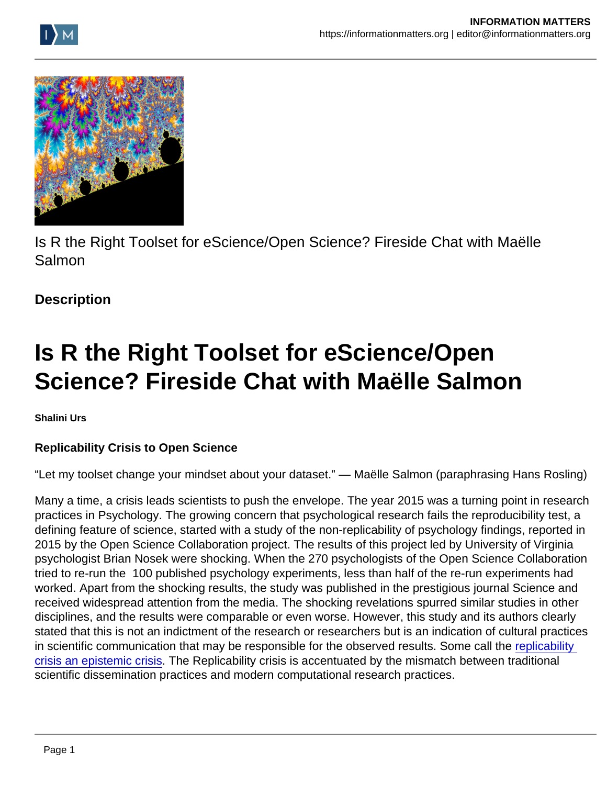Is R the Right Toolset for eScience/Open Science? Fireside Chat with Maëlle Salmon

**Description** 

## Is R the Right Toolset for eScience/Open Science? Fireside Chat with Maëlle Salmon

Shalini Urs

Replicability Crisis to Open Science

"Let my toolset change your mindset about your dataset." — Maëlle Salmon (paraphrasing Hans Rosling)

Many a time, a crisis leads scientists to push the envelope. The year 2015 was a turning point in research practices in Psychology. The growing concern that psychological research fails the reproducibility test, a defining feature of science, started with a study of the non-replicability of psychology findings, reported in 2015 by the Open Science Collaboration project. The results of this project led by University of Virginia psychologist Brian Nosek were shocking. When the 270 psychologists of the Open Science Collaboration tried to re-run the 100 published psychology experiments, less than half of the re-run experiments had worked. Apart from the shocking results, the study was published in the prestigious journal Science and received widespread attention from the media. The shocking revelations spurred similar studies in other disciplines, and the results were comparable or even worse. However, this study and its authors clearly stated that this is not an indictment of the research or researchers but is an indication of cultural practices in scientific communication that may be responsible for the observed results. Some call the replicability [crisis an epistemic crisis.](https://www.tandfonline.com/doi/full/10.1080/08989621.2021.1962713) The Replicability crisis is accentuated by the mismatch between traditional scientific dissemination practices and modern computational research practices.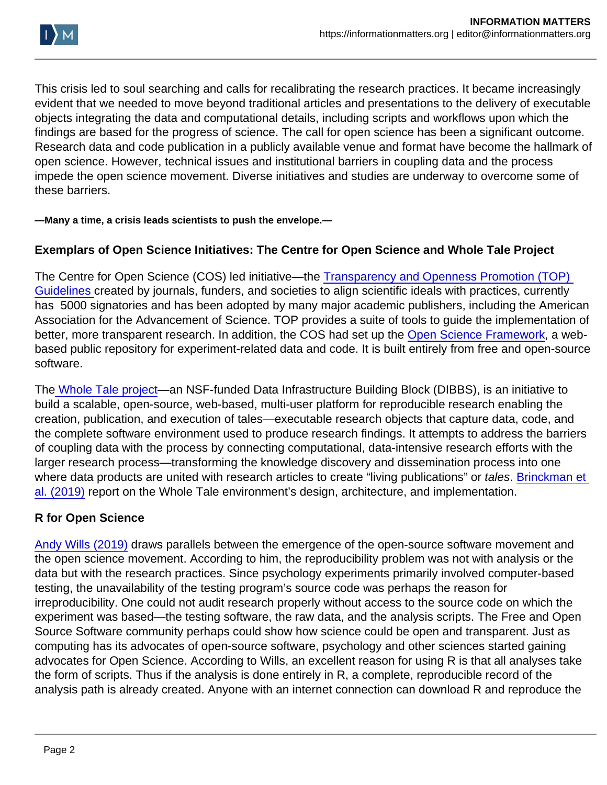This crisis led to soul searching and calls for recalibrating the research practices. It became increasingly evident that we needed to move beyond traditional articles and presentations to the delivery of executable objects integrating the data and computational details, including scripts and workflows upon which the findings are based for the progress of science. The call for open science has been a significant outcome. Research data and code publication in a publicly available venue and format have become the hallmark of open science. However, technical issues and institutional barriers in coupling data and the process impede the open science movement. Diverse initiatives and studies are underway to overcome some of these barriers.

—Many a time, a crisis leads scientists to push the envelope.—

Exemplars of Open Science Initiatives: The Centre for Open Science and Whole Tale Project

The Centre for Open Science (COS) led initiative—the [Transparency and Openness Promotion \(TOP\)](https://www.cos.io/initiatives/top-guidelines)  [Guidelines](https://www.cos.io/initiatives/top-guidelines) created by journals, funders, and societies to align scientific ideals with practices, currently has 5000 signatories and has been adopted by many major academic publishers, including the American Association for the Advancement of Science. TOP provides a suite of tools to guide the implementation of better, more transparent research. In addition, the COS had set up the [Open Science Framework,](https://osf.io/) a webbased public repository for experiment-related data and code. It is built entirely from free and open-source software.

The [Whole Tale project](https://wholetale.org/)—an NSF-funded Data Infrastructure Building Block (DIBBS), is an initiative to build a scalable, open-source, web-based, multi-user platform for reproducible research enabling the creation, publication, and execution of tales—executable research objects that capture data, code, and the complete software environment used to produce research findings. It attempts to address the barriers of coupling data with the process by connecting computational, data-intensive research efforts with the larger research process—transforming the knowledge discovery and dissemination process into one where data products are united with research articles to create "living publications" or tales. Brinckman et [al. \(2019\)](https://www.sciencedirect.com/science/article/pii/S0167739X17310695)) report on the Whole Tale environment's design, architecture, and implementation.

## R for Open Science

[Andy Wills \(2019\)](https://www.linuxjournal.com/content/open-science-open-source-and-r) draws parallels between the emergence of the open-source software movement and the open science movement. According to him, the reproducibility problem was not with analysis or the data but with the research practices. Since psychology experiments primarily involved computer-based testing, the unavailability of the testing program's source code was perhaps the reason for irreproducibility. One could not audit research properly without access to the source code on which the experiment was based—the testing software, the raw data, and the analysis scripts. The Free and Open Source Software community perhaps could show how science could be open and transparent. Just as computing has its advocates of open-source software, psychology and other sciences started gaining advocates for Open Science. According to Wills, an excellent reason for using R is that all analyses take the form of scripts. Thus if the analysis is done entirely in R, a complete, reproducible record of the analysis path is already created. Anyone with an internet connection can download R and reproduce the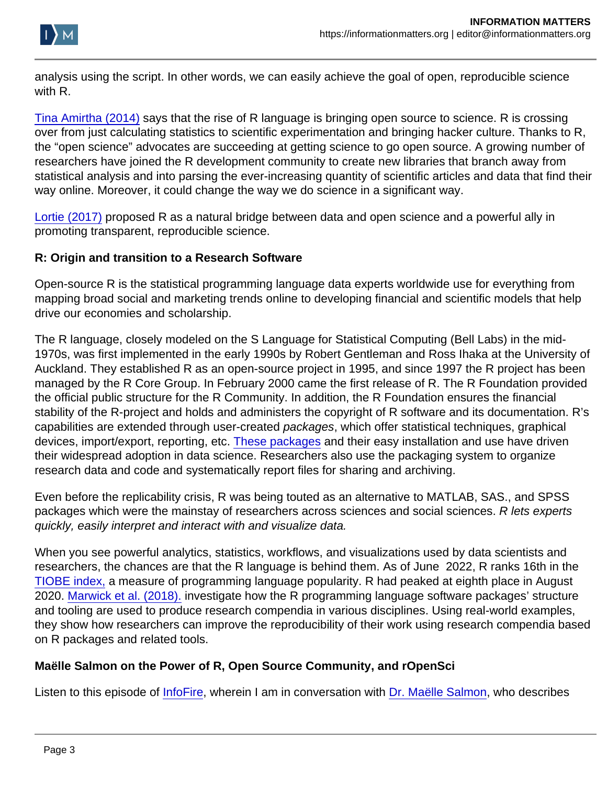analysis using the script. In other words, we can easily achieve the goal of open, reproducible science with R.

[Tina Amirtha \(2014\)](https://www.fastcompany.com/3028381/how-the-rise-of-the-r-computer-language-is-bringing-open-source-to-science) says that the rise of R language is bringing open source to science. R is crossing over from just calculating statistics to scientific experimentation and bringing hacker culture. Thanks to R, the "open science" advocates are succeeding at getting science to go open source. A growing number of researchers have joined the R development community to create new libraries that branch away from statistical analysis and into parsing the ever-increasing quantity of scientific articles and data that find their way online. Moreover, it could change the way we do science in a significant way.

[Lortie \(2017\)](https://ojs.library.queensu.ca/index.php/IEE/article/view/6559) proposed R as a natural bridge between data and open science and a powerful ally in promoting transparent, reproducible science.

R: Origin and transition to a Research Software

Open-source R is the statistical programming language data experts worldwide use for everything from mapping broad social and marketing trends online to developing financial and scientific models that help drive our economies and scholarship.

The R language, closely modeled on the S Language for Statistical Computing (Bell Labs) in the mid-1970s, was first implemented in the early 1990s by Robert Gentleman and Ross Ihaka at the University of Auckland. They established R as an open-source project in 1995, and since 1997 the R project has been managed by the R Core Group. In February 2000 came the first release of R. The R Foundation provided the official public structure for the R Community. In addition, the R Foundation ensures the financial stability of the R-project and holds and administers the copyright of R software and its documentation. R's capabilities are extended through user-created packages, which offer statistical techniques, graphical devices, import/export, reporting, etc. [These packages](https://en.wikipedia.org/wiki/R_(programming_language)) and their easy installation and use have driven their widespread adoption in data science. Researchers also use the packaging system to organize research data and code and systematically report files for sharing and archiving.

Even before the replicability crisis, R was being touted as an alternative to MATLAB, SAS., and SPSS packages which were the mainstay of researchers across sciences and social sciences. R lets experts quickly, easily interpret and interact with and visualize data.

When you see powerful analytics, statistics, workflows, and visualizations used by data scientists and researchers, the chances are that the R language is behind them. As of June 2022, R ranks 16th in the [TIOBE index,](https://www.tiobe.com/tiobe-index/) a measure of programming language popularity. R had peaked at eighth place in August 2020. [Marwick et al. \(2018\).](http://(https://www.tandfonline.com/doi/abs/10.1080/00031305.2017.1375986)) investigate how the R programming language software packages' structure and tooling are used to produce research compendia in various disciplines. Using real-world examples, they show how researchers can improve the reproducibility of their work using research compendia based on R packages and related tools.

Maëlle Salmon on the Power of R, Open Source Community, and rOpenSci

Listen to this episode of [InfoFire](https://youtu.be/ntqt0Vlzujo), wherein I am in conversation with [Dr. Maëlle Salmon](https://masalmon.eu/), who describes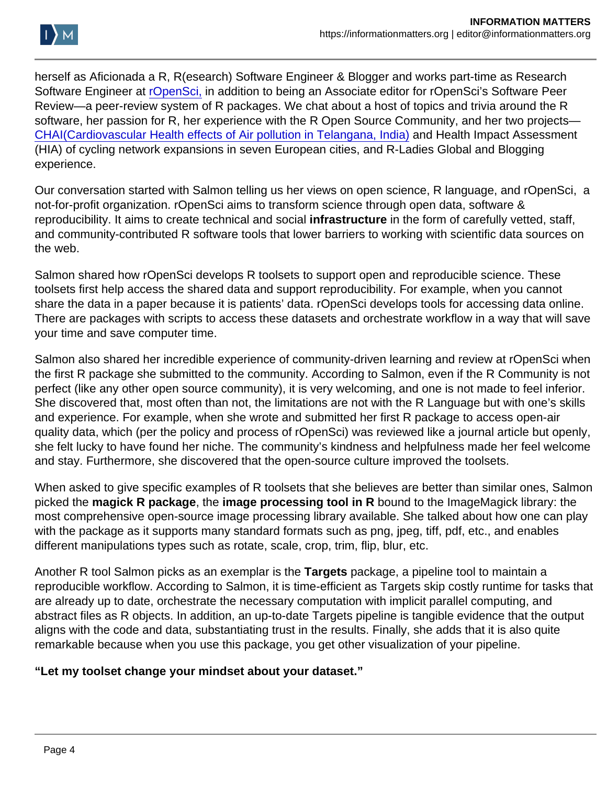herself as Aficionada a R, R(esearch) Software Engineer & Blogger and works part-time as Research Software Engineer at [rOpenSci,](https://ropensci.org/) in addition to being an Associate editor for rOpenSci's Software Peer Review—a peer-review system of R packages. We chat about a host of topics and trivia around the R software, her passion for R, her experience with the R Open Source Community, and her two projects— [CHAI\(Cardiovascular Health effects of Air pollution in Telangana, India\)](https://www.isglobal.org/en/-/chai-cardiovascular-health-effects-of-air-pollution-in-andhra-pradesh-india) and Health Impact Assessment (HIA) of cycling network expansions in seven European cities, and R-Ladies Global and Blogging experience.

Our conversation started with Salmon telling us her views on open science, R language, and rOpenSci, a not-for-profit organization. rOpenSci aims to transform science through open data, software & reproducibility. It aims to create technical and social infrastructure in the form of carefully vetted, staff, and community-contributed R software tools that lower barriers to working with scientific data sources on the web.

Salmon shared how rOpenSci develops R toolsets to support open and reproducible science. These toolsets first help access the shared data and support reproducibility. For example, when you cannot share the data in a paper because it is patients' data. rOpenSci develops tools for accessing data online. There are packages with scripts to access these datasets and orchestrate workflow in a way that will save your time and save computer time.

Salmon also shared her incredible experience of community-driven learning and review at rOpenSci when the first R package she submitted to the community. According to Salmon, even if the R Community is not perfect (like any other open source community), it is very welcoming, and one is not made to feel inferior. She discovered that, most often than not, the limitations are not with the R Language but with one's skills and experience. For example, when she wrote and submitted her first R package to access open-air quality data, which (per the policy and process of rOpenSci) was reviewed like a journal article but openly, she felt lucky to have found her niche. The community's kindness and helpfulness made her feel welcome and stay. Furthermore, she discovered that the open-source culture improved the toolsets.

When asked to give specific examples of R toolsets that she believes are better than similar ones, Salmon picked the magick R package, the image processing tool in R bound to the ImageMagick library: the most comprehensive open-source image processing library available. She talked about how one can play with the package as it supports many standard formats such as png, jpeg, tiff, pdf, etc., and enables different manipulations types such as rotate, scale, crop, trim, flip, blur, etc.

Another R tool Salmon picks as an exemplar is the Targets package, a pipeline tool to maintain a reproducible workflow. According to Salmon, it is time-efficient as Targets skip costly runtime for tasks that are already up to date, orchestrate the necessary computation with implicit parallel computing, and abstract files as R objects. In addition, an up-to-date Targets pipeline is tangible evidence that the output aligns with the code and data, substantiating trust in the results. Finally, she adds that it is also quite remarkable because when you use this package, you get other visualization of your pipeline.

"Let my toolset change your mindset about your dataset."